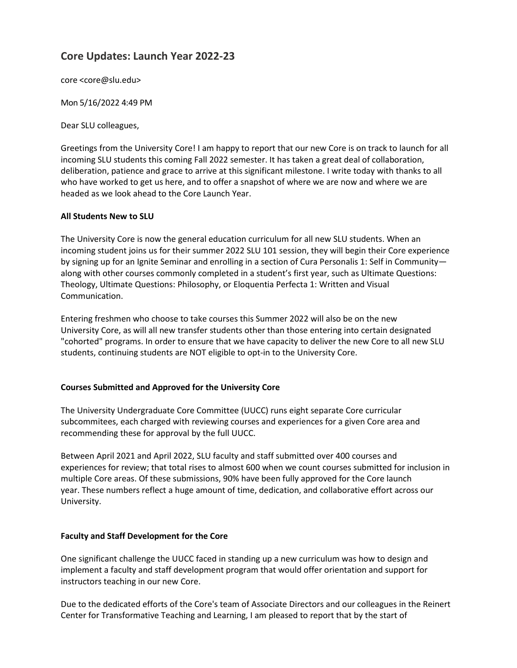# **Core Updates: Launch Year 2022-23**

core [<core@slu.edu>](mailto:core@slu.edu)

Mon 5/16/2022 4:49 PM

Dear SLU colleagues,

Greetings from the University Core! I am happy to report that our new Core is on track to launch for all incoming SLU students this coming Fall 2022 semester. It has taken a great deal of collaboration, deliberation, patience and grace to arrive at this significant milestone. I write today with thanks to all who have worked to get us here, and to offer a snapshot of where we are now and where we are headed as we look ahead to the Core Launch Year.

### **All Students New to SLU**

The University Core is now the general education curriculum for all new SLU students. When an incoming student joins us for their summer 2022 SLU 101 session, they will begin their Core experience by signing up for an Ignite Seminar and enrolling in a section of Cura Personalis 1: Self in Community along with other courses commonly completed in a student's first year, such as Ultimate Questions: Theology, Ultimate Questions: Philosophy, or Eloquentia Perfecta 1: Written and Visual Communication.

Entering freshmen who choose to take courses this Summer 2022 will also be on the new University Core, as will all new transfer students other than those entering into certain designated "cohorted" programs. In order to ensure that we have capacity to deliver the new Core to all new SLU students, continuing students are NOT eligible to opt-in to the University Core.

## **Courses Submitted and Approved for the University Core**

The University Undergraduate Core Committee (UUCC) runs eight separate Core curricular subcommitees, each charged with reviewing courses and experiences for a given Core area and recommending these for approval by the full UUCC.

Between April 2021 and April 2022, SLU faculty and staff submitted over 400 courses and experiences for review; that total rises to almost 600 when we count courses submitted for inclusion in multiple Core areas. Of these submissions, 90% have been fully approved for the Core launch year. These numbers reflect a huge amount of time, dedication, and collaborative effort across our University.

## **Faculty and Staff Development for the Core**

One significant challenge the UUCC faced in standing up a new curriculum was how to design and implement a faculty and staff development program that would offer orientation and support for instructors teaching in our new Core.

Due to the dedicated efforts of the Core's team of Associate Directors and our colleagues in the Reinert Center for Transformative Teaching and Learning, I am pleased to report that by the start of